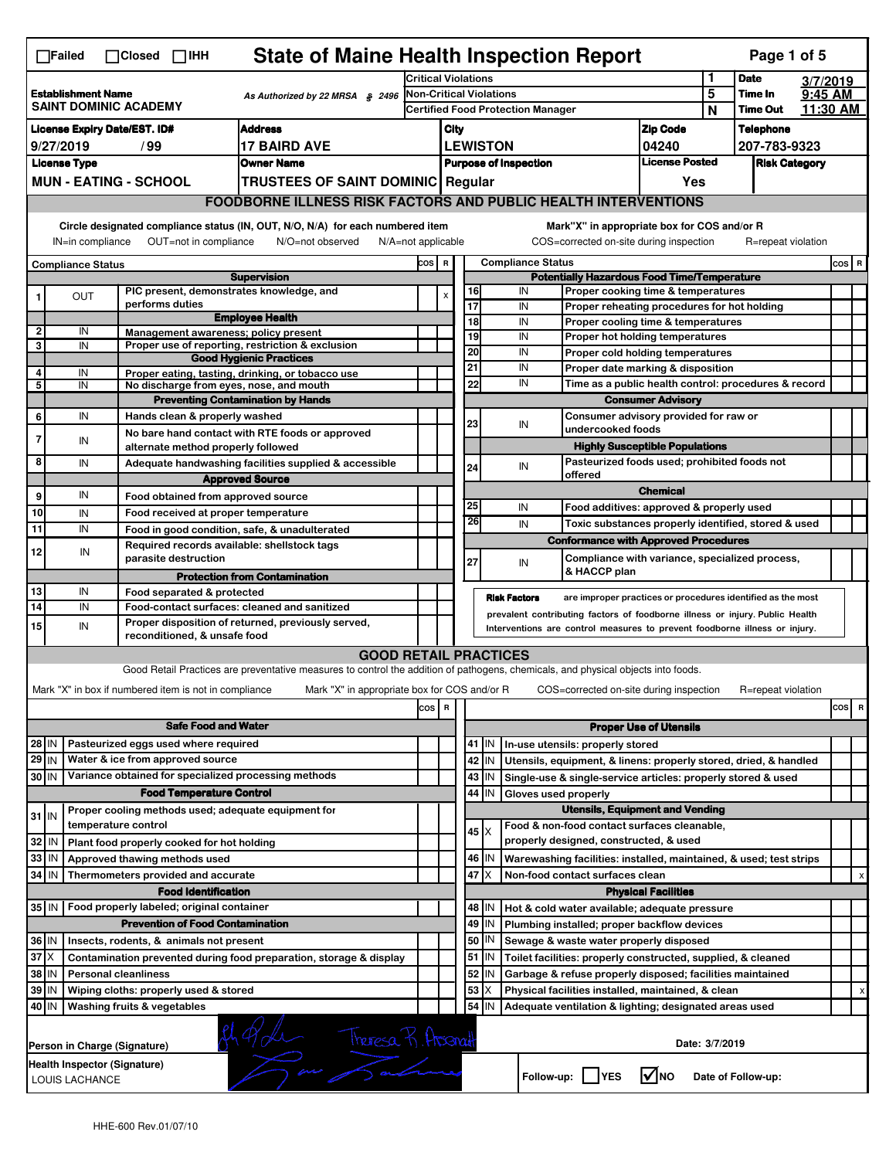|                                                                                                                                                      | <b>State of Maine Health Inspection Report</b><br>Page 1 of 5<br>$\Box$ Failed<br>$\Box$ IHH<br>$\Box$ Closed                                                                |                                                                                              |                                                                                                                                   |                                                                     |             |                  |                              |                                                                                              |                                                                                   |        |                            |                     |          |
|------------------------------------------------------------------------------------------------------------------------------------------------------|------------------------------------------------------------------------------------------------------------------------------------------------------------------------------|----------------------------------------------------------------------------------------------|-----------------------------------------------------------------------------------------------------------------------------------|---------------------------------------------------------------------|-------------|------------------|------------------------------|----------------------------------------------------------------------------------------------|-----------------------------------------------------------------------------------|--------|----------------------------|---------------------|----------|
|                                                                                                                                                      |                                                                                                                                                                              |                                                                                              |                                                                                                                                   | Critical Violations                                                 |             |                  |                              |                                                                                              | 1                                                                                 |        | <b>Date</b>                | 3/7/2019            |          |
|                                                                                                                                                      | <b>Establishment Name</b>                                                                                                                                                    | SAINT DOMINIC ACADEMY                                                                        | As Authorized by 22 MRSA § 2496                                                                                                   | <b>Non-Critical Violations</b><br>Certified Food Protection Manager |             |                  |                              |                                                                                              |                                                                                   | 5<br>N | Time In<br><b>Time Out</b> | 9:45 AM<br>11:30 AM |          |
| <b>Address</b><br><b>License Expiry Date/EST. ID#</b>                                                                                                |                                                                                                                                                                              |                                                                                              |                                                                                                                                   |                                                                     | City        |                  |                              |                                                                                              | <b>Zip Code</b>                                                                   |        | <b>Telephone</b>           |                     |          |
|                                                                                                                                                      | 9/27/2019                                                                                                                                                                    | / 99                                                                                         | <b>17 BAIRD AVE</b>                                                                                                               |                                                                     |             |                  | <b>LEWISTON</b>              |                                                                                              | 04240                                                                             |        | 207-783-9323               |                     |          |
|                                                                                                                                                      | <b>License Type</b>                                                                                                                                                          |                                                                                              | <b>Owner Name</b>                                                                                                                 |                                                                     |             |                  | <b>Purpose of Inspection</b> |                                                                                              | <b>License Posted</b>                                                             |        | <b>Risk Category</b>       |                     |          |
|                                                                                                                                                      |                                                                                                                                                                              | <b>MUN - EATING - SCHOOL</b>                                                                 | <b>TRUSTEES OF SAINT DOMINIC Regular</b>                                                                                          |                                                                     |             |                  |                              |                                                                                              | Yes                                                                               |        |                            |                     |          |
|                                                                                                                                                      |                                                                                                                                                                              |                                                                                              | <b>FOODBORNE ILLNESS RISK FACTORS AND PUBLIC HEALTH INTERVENTIONS</b>                                                             |                                                                     |             |                  |                              |                                                                                              |                                                                                   |        |                            |                     |          |
| Circle designated compliance status (IN, OUT, N/O, N/A) for each numbered item<br>Mark"X" in appropriate box for COS and/or R                        |                                                                                                                                                                              |                                                                                              |                                                                                                                                   |                                                                     |             |                  |                              |                                                                                              |                                                                                   |        |                            |                     |          |
| OUT=not in compliance<br>N/O=not observed<br>COS=corrected on-site during inspection<br>R=repeat violation<br>IN=in compliance<br>N/A=not applicable |                                                                                                                                                                              |                                                                                              |                                                                                                                                   |                                                                     |             |                  |                              |                                                                                              |                                                                                   |        |                            |                     |          |
| <b>Compliance Status</b>                                                                                                                             |                                                                                                                                                                              |                                                                                              |                                                                                                                                   | COS R                                                               |             |                  | <b>Compliance Status</b>     |                                                                                              |                                                                                   |        |                            |                     | COS R    |
|                                                                                                                                                      |                                                                                                                                                                              |                                                                                              | <b>Supervision</b>                                                                                                                |                                                                     |             |                  |                              | <b>Potentially Hazardous Food Time/Temperature</b>                                           |                                                                                   |        |                            |                     |          |
|                                                                                                                                                      | OUT                                                                                                                                                                          | PIC present, demonstrates knowledge, and<br>performs duties                                  |                                                                                                                                   |                                                                     |             | 16<br>17         | IN<br>IN                     |                                                                                              | Proper cooking time & temperatures                                                |        |                            |                     |          |
|                                                                                                                                                      |                                                                                                                                                                              |                                                                                              | <b>Employee Health</b>                                                                                                            |                                                                     |             | 18               | IN                           |                                                                                              | Proper reheating procedures for hot holding<br>Proper cooling time & temperatures |        |                            |                     |          |
| 2                                                                                                                                                    | IN                                                                                                                                                                           | Management awareness; policy present                                                         |                                                                                                                                   |                                                                     |             | 19               | IN                           |                                                                                              | Proper hot holding temperatures                                                   |        |                            |                     |          |
| 3                                                                                                                                                    | IN                                                                                                                                                                           |                                                                                              | Proper use of reporting, restriction & exclusion<br><b>Good Hygienic Practices</b>                                                |                                                                     |             | 20               | IN                           |                                                                                              | Proper cold holding temperatures                                                  |        |                            |                     |          |
| 4                                                                                                                                                    | IN                                                                                                                                                                           |                                                                                              | Proper eating, tasting, drinking, or tobacco use                                                                                  |                                                                     |             | 21               | IN                           |                                                                                              | Proper date marking & disposition                                                 |        |                            |                     |          |
| 5                                                                                                                                                    | IN                                                                                                                                                                           | No discharge from eyes, nose, and mouth                                                      | <b>Preventing Contamination by Hands</b>                                                                                          |                                                                     |             | 22               | IN                           |                                                                                              | Time as a public health control: procedures & record<br><b>Consumer Advisory</b>  |        |                            |                     |          |
| 6                                                                                                                                                    | IN                                                                                                                                                                           | Hands clean & properly washed                                                                |                                                                                                                                   |                                                                     |             |                  |                              |                                                                                              | Consumer advisory provided for raw or                                             |        |                            |                     |          |
|                                                                                                                                                      |                                                                                                                                                                              |                                                                                              | No bare hand contact with RTE foods or approved                                                                                   |                                                                     |             | 23               | IN                           | undercooked foods                                                                            |                                                                                   |        |                            |                     |          |
| 7                                                                                                                                                    | IN                                                                                                                                                                           | alternate method properly followed                                                           |                                                                                                                                   |                                                                     |             |                  |                              |                                                                                              | <b>Highly Susceptible Populations</b>                                             |        |                            |                     |          |
| 8                                                                                                                                                    | IN                                                                                                                                                                           |                                                                                              | Adequate handwashing facilities supplied & accessible                                                                             |                                                                     |             | 24               | IN                           | offered                                                                                      | Pasteurized foods used; prohibited foods not                                      |        |                            |                     |          |
|                                                                                                                                                      |                                                                                                                                                                              |                                                                                              | <b>Approved Source</b>                                                                                                            |                                                                     |             |                  |                              |                                                                                              | <b>Chemical</b>                                                                   |        |                            |                     |          |
| 9<br>10                                                                                                                                              | IN                                                                                                                                                                           | Food obtained from approved source                                                           |                                                                                                                                   |                                                                     |             | 25               | IN                           |                                                                                              | Food additives: approved & properly used                                          |        |                            |                     |          |
| 11                                                                                                                                                   | IN<br>IN                                                                                                                                                                     | Food received at proper temperature                                                          | Food in good condition, safe, & unadulterated                                                                                     |                                                                     |             | 26               | IN                           |                                                                                              | Toxic substances properly identified, stored & used                               |        |                            |                     |          |
|                                                                                                                                                      |                                                                                                                                                                              | Required records available: shellstock tags                                                  |                                                                                                                                   |                                                                     |             |                  |                              | <b>Conformance with Approved Procedures</b>                                                  |                                                                                   |        |                            |                     |          |
| 12                                                                                                                                                   | IN                                                                                                                                                                           | parasite destruction                                                                         |                                                                                                                                   |                                                                     |             | 27               | IN                           |                                                                                              | Compliance with variance, specialized process,                                    |        |                            |                     |          |
|                                                                                                                                                      |                                                                                                                                                                              |                                                                                              | <b>Protection from Contamination</b>                                                                                              |                                                                     |             |                  |                              | & HACCP plan                                                                                 |                                                                                   |        |                            |                     |          |
| 13                                                                                                                                                   | IN                                                                                                                                                                           | Food separated & protected                                                                   |                                                                                                                                   |                                                                     |             |                  | <b>Risk Factors</b>          |                                                                                              | are improper practices or procedures identified as the most                       |        |                            |                     |          |
| 14                                                                                                                                                   | IN                                                                                                                                                                           |                                                                                              | Food-contact surfaces: cleaned and sanitized                                                                                      |                                                                     |             |                  |                              | prevalent contributing factors of foodborne illness or injury. Public Health                 |                                                                                   |        |                            |                     |          |
|                                                                                                                                                      | Proper disposition of returned, previously served,<br>15<br>IN<br>Interventions are control measures to prevent foodborne illness or injury.<br>reconditioned, & unsafe food |                                                                                              |                                                                                                                                   |                                                                     |             |                  |                              |                                                                                              |                                                                                   |        |                            |                     |          |
|                                                                                                                                                      |                                                                                                                                                                              |                                                                                              |                                                                                                                                   |                                                                     |             |                  |                              |                                                                                              |                                                                                   |        |                            |                     |          |
|                                                                                                                                                      |                                                                                                                                                                              |                                                                                              | <b>GOOD RETAIL PRACTICES</b>                                                                                                      |                                                                     |             |                  |                              |                                                                                              |                                                                                   |        |                            |                     |          |
|                                                                                                                                                      |                                                                                                                                                                              |                                                                                              | Good Retail Practices are preventative measures to control the addition of pathogens, chemicals, and physical objects into foods. |                                                                     |             |                  |                              |                                                                                              |                                                                                   |        |                            |                     |          |
|                                                                                                                                                      |                                                                                                                                                                              | Mark "X" in box if numbered item is not in compliance                                        | Mark "X" in appropriate box for COS and/or R                                                                                      |                                                                     |             |                  |                              | COS=corrected on-site during inspection                                                      |                                                                                   |        | R=repeat violation         |                     |          |
|                                                                                                                                                      |                                                                                                                                                                              |                                                                                              |                                                                                                                                   | cos                                                                 | $\mathbf R$ |                  |                              |                                                                                              |                                                                                   |        |                            |                     | cos<br>R |
|                                                                                                                                                      |                                                                                                                                                                              | <b>Safe Food and Water</b>                                                                   |                                                                                                                                   |                                                                     |             |                  |                              |                                                                                              | <b>Proper Use of Utensils</b>                                                     |        |                            |                     |          |
| 28 IN                                                                                                                                                |                                                                                                                                                                              | Pasteurized eggs used where required                                                         |                                                                                                                                   |                                                                     |             | 41 J IN          |                              | In-use utensils: properly stored                                                             |                                                                                   |        |                            |                     |          |
| 29 IN                                                                                                                                                |                                                                                                                                                                              | Water & ice from approved source                                                             |                                                                                                                                   |                                                                     |             | 42               | IN                           | Utensils, equipment, & linens: properly stored, dried, & handled                             |                                                                                   |        |                            |                     |          |
| 30 IN                                                                                                                                                |                                                                                                                                                                              | Variance obtained for specialized processing methods<br><b>Food Temperature Control</b>      |                                                                                                                                   |                                                                     |             | $43$   IN<br>44  | IN                           | Single-use & single-service articles: properly stored & used<br>Gloves used properly         |                                                                                   |        |                            |                     |          |
|                                                                                                                                                      |                                                                                                                                                                              | Proper cooling methods used; adequate equipment for                                          |                                                                                                                                   |                                                                     |             |                  |                              | <b>Utensils, Equipment and Vending</b>                                                       |                                                                                   |        |                            |                     |          |
| $31$ IN                                                                                                                                              |                                                                                                                                                                              | temperature control                                                                          |                                                                                                                                   |                                                                     |             | $45 \times$      |                              | Food & non-food contact surfaces cleanable,                                                  |                                                                                   |        |                            |                     |          |
| 32 IN                                                                                                                                                |                                                                                                                                                                              | Plant food properly cooked for hot holding                                                   |                                                                                                                                   |                                                                     |             |                  |                              | properly designed, constructed, & used                                                       |                                                                                   |        |                            |                     |          |
| 33 IN                                                                                                                                                |                                                                                                                                                                              | Approved thawing methods used                                                                |                                                                                                                                   |                                                                     |             | 46   IN          |                              | Warewashing facilities: installed, maintained, & used; test strips                           |                                                                                   |        |                            |                     |          |
| 34 IN                                                                                                                                                |                                                                                                                                                                              | Thermometers provided and accurate                                                           |                                                                                                                                   |                                                                     |             | 47               | X                            | Non-food contact surfaces clean                                                              |                                                                                   |        |                            |                     | х        |
|                                                                                                                                                      |                                                                                                                                                                              | <b>Food Identification</b>                                                                   |                                                                                                                                   |                                                                     |             |                  |                              |                                                                                              | <b>Physical Facilities</b>                                                        |        |                            |                     |          |
|                                                                                                                                                      |                                                                                                                                                                              | 35 IN   Food properly labeled; original container<br><b>Prevention of Food Contamination</b> |                                                                                                                                   |                                                                     |             | 48   IN<br>49 IN |                              | Hot & cold water available; adequate pressure<br>Plumbing installed; proper backflow devices |                                                                                   |        |                            |                     |          |
| 36 IN                                                                                                                                                |                                                                                                                                                                              | Insects, rodents, & animals not present                                                      |                                                                                                                                   |                                                                     |             | 50   IN          |                              | Sewage & waste water properly disposed                                                       |                                                                                   |        |                            |                     |          |
| $37$ $\times$                                                                                                                                        |                                                                                                                                                                              |                                                                                              | Contamination prevented during food preparation, storage & display                                                                |                                                                     |             | 51               | IN                           | Toilet facilities: properly constructed, supplied, & cleaned                                 |                                                                                   |        |                            |                     |          |
| 38   IN                                                                                                                                              |                                                                                                                                                                              | <b>Personal cleanliness</b>                                                                  |                                                                                                                                   |                                                                     |             | 52               | IN                           | Garbage & refuse properly disposed; facilities maintained                                    |                                                                                   |        |                            |                     |          |
| 39 IN                                                                                                                                                |                                                                                                                                                                              | Wiping cloths: properly used & stored                                                        |                                                                                                                                   |                                                                     |             | 53               |                              | Physical facilities installed, maintained, & clean                                           |                                                                                   |        |                            |                     |          |
| 40 IN                                                                                                                                                |                                                                                                                                                                              | Washing fruits & vegetables                                                                  |                                                                                                                                   |                                                                     |             | 54               | IN                           | Adequate ventilation & lighting; designated areas used                                       |                                                                                   |        |                            |                     |          |
|                                                                                                                                                      |                                                                                                                                                                              |                                                                                              |                                                                                                                                   |                                                                     |             |                  |                              |                                                                                              |                                                                                   |        |                            |                     |          |
|                                                                                                                                                      |                                                                                                                                                                              | Person in Charge (Signature)                                                                 |                                                                                                                                   |                                                                     |             |                  |                              |                                                                                              | Date: 3/7/2019                                                                    |        |                            |                     |          |
|                                                                                                                                                      | LOUIS LACHANCE                                                                                                                                                               | Health Inspector (Signature)                                                                 | Ade Theresa R. Atomat                                                                                                             |                                                                     |             |                  |                              | Follow-up:     YES                                                                           | $\sqrt{ }$ NO                                                                     |        | Date of Follow-up:         |                     |          |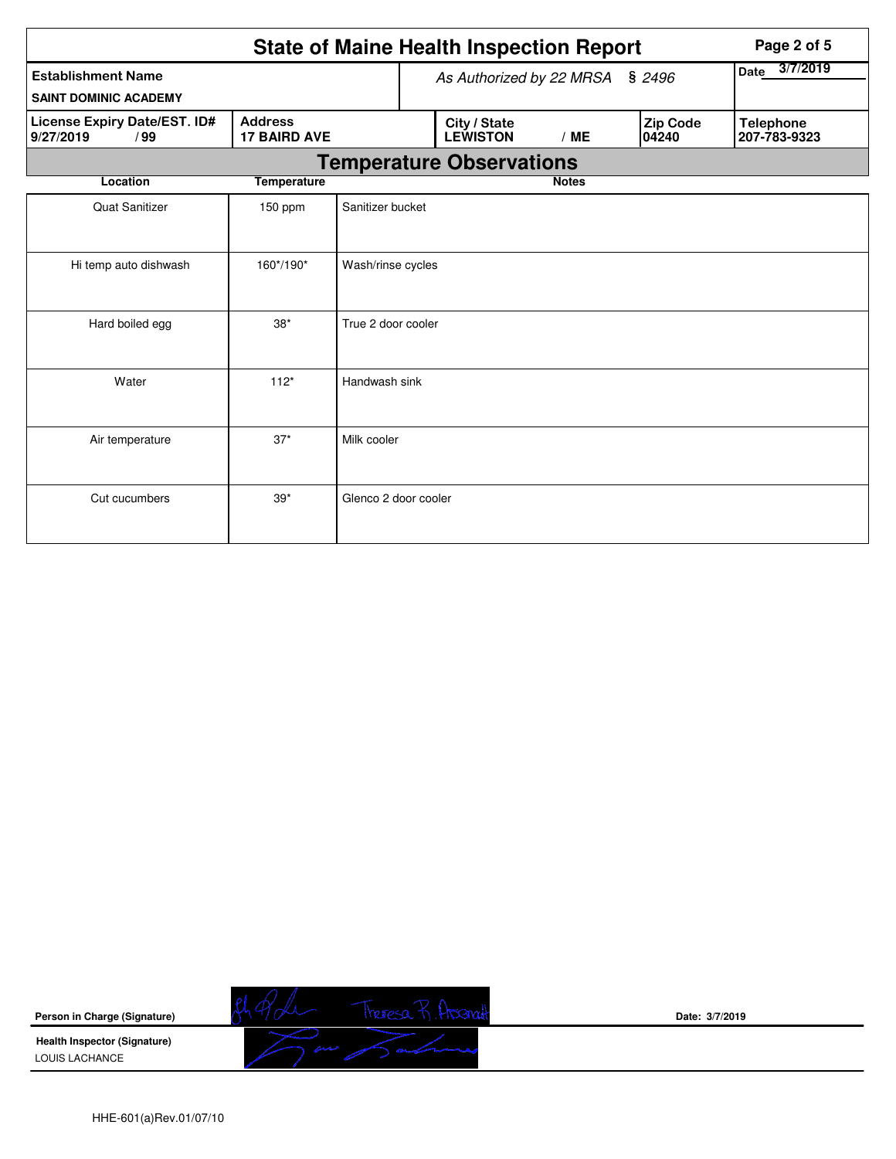|                                                           |                                       |                      |  | <b>State of Maine Health Inspection Report</b> |                  |                   | Page 2 of 5                      |
|-----------------------------------------------------------|---------------------------------------|----------------------|--|------------------------------------------------|------------------|-------------------|----------------------------------|
| <b>Establishment Name</b><br><b>SAINT DOMINIC ACADEMY</b> | As Authorized by 22 MRSA § 2496       |                      |  |                                                | 3/7/2019<br>Date |                   |                                  |
| License Expiry Date/EST. ID#<br>9/27/2019<br>/99          | <b>Address</b><br><b>17 BAIRD AVE</b> |                      |  | City / State<br><b>LEWISTON</b>                | /ME              | Zip Code<br>04240 | <b>Telephone</b><br>207-783-9323 |
|                                                           |                                       |                      |  | <b>Temperature Observations</b>                |                  |                   |                                  |
| Location                                                  | <b>Temperature</b>                    |                      |  |                                                | <b>Notes</b>     |                   |                                  |
| <b>Quat Sanitizer</b>                                     | 150 ppm                               | Sanitizer bucket     |  |                                                |                  |                   |                                  |
| Hi temp auto dishwash                                     | 160*/190*                             | Wash/rinse cycles    |  |                                                |                  |                   |                                  |
| Hard boiled egg                                           | $38*$                                 | True 2 door cooler   |  |                                                |                  |                   |                                  |
| Water                                                     | $112*$                                | Handwash sink        |  |                                                |                  |                   |                                  |
| Air temperature                                           | $37*$                                 | Milk cooler          |  |                                                |                  |                   |                                  |
| Cut cucumbers                                             | $39*$                                 | Glenco 2 door cooler |  |                                                |                  |                   |                                  |

**Person in Charge (Signature) Health Inspector (Signature)** 

LOUIS LACHANCE

Theresa R. Atsenat

**Date: 3/7/2019**

HHE-601(a)Rev.01/07/10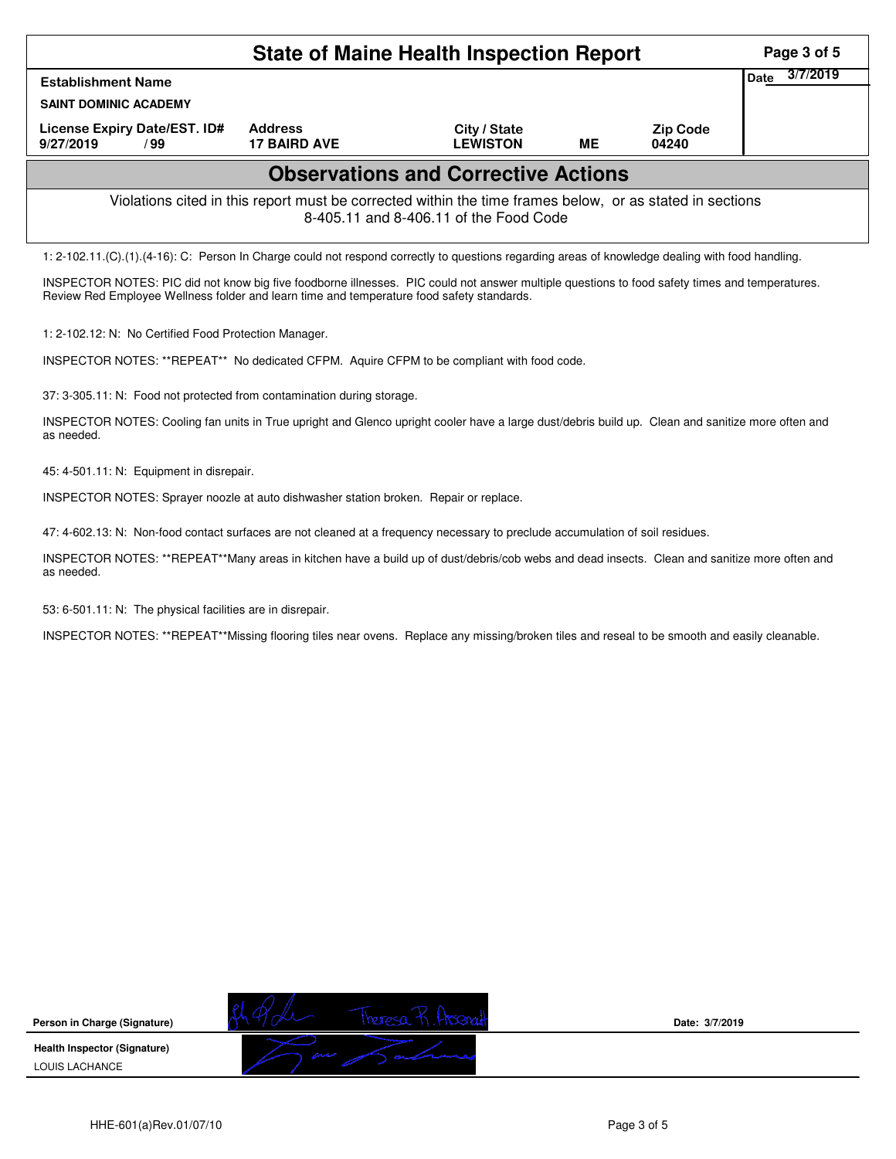|                                                                                                                                                                                                                                             |                                                                                                          | <b>State of Maine Health Inspection Report</b> |    |                   | Page 3 of 5      |
|---------------------------------------------------------------------------------------------------------------------------------------------------------------------------------------------------------------------------------------------|----------------------------------------------------------------------------------------------------------|------------------------------------------------|----|-------------------|------------------|
| <b>Establishment Name</b>                                                                                                                                                                                                                   |                                                                                                          |                                                |    |                   | 3/7/2019<br>Date |
| <b>SAINT DOMINIC ACADEMY</b>                                                                                                                                                                                                                |                                                                                                          |                                                |    |                   |                  |
| License Expiry Date/EST. ID#<br>9/27/2019<br>/99                                                                                                                                                                                            | <b>Address</b><br><b>17 BAIRD AVE</b>                                                                    | City / State<br><b>LEWISTON</b>                | ME | Zip Code<br>04240 |                  |
|                                                                                                                                                                                                                                             |                                                                                                          | <b>Observations and Corrective Actions</b>     |    |                   |                  |
|                                                                                                                                                                                                                                             | Violations cited in this report must be corrected within the time frames below, or as stated in sections | 8-405.11 and 8-406.11 of the Food Code         |    |                   |                  |
| 1: 2-102.11.(C).(1).(4-16): C: Person In Charge could not respond correctly to questions regarding areas of knowledge dealing with food handling.                                                                                           |                                                                                                          |                                                |    |                   |                  |
| INSPECTOR NOTES: PIC did not know big five foodborne illnesses. PIC could not answer multiple questions to food safety times and temperatures.<br>Review Red Employee Wellness folder and learn time and temperature food safety standards. |                                                                                                          |                                                |    |                   |                  |
| 1: 2-102.12: N: No Certified Food Protection Manager.                                                                                                                                                                                       |                                                                                                          |                                                |    |                   |                  |
| INSPECTOR NOTES: **REPEAT** No dedicated CFPM. Aquire CFPM to be compliant with food code.                                                                                                                                                  |                                                                                                          |                                                |    |                   |                  |
| 37: 3-305.11: N: Food not protected from contamination during storage.                                                                                                                                                                      |                                                                                                          |                                                |    |                   |                  |
| INSPECTOR NOTES: Cooling fan units in True upright and Glenco upright cooler have a large dust/debris build up. Clean and sanitize more often and                                                                                           |                                                                                                          |                                                |    |                   |                  |

45: 4-501.11: N: Equipment in disrepair.

as needed.

INSPECTOR NOTES: Sprayer noozle at auto dishwasher station broken. Repair or replace.

47: 4-602.13: N: Non-food contact surfaces are not cleaned at a frequency necessary to preclude accumulation of soil residues.

INSPECTOR NOTES: \*\*REPEAT\*\*Many areas in kitchen have a build up of dust/debris/cob webs and dead insects. Clean and sanitize more often and as needed.

53: 6-501.11: N: The physical facilities are in disrepair.

INSPECTOR NOTES: \*\*REPEAT\*\*Missing flooring tiles near ovens. Replace any missing/broken tiles and reseal to be smooth and easily cleanable.

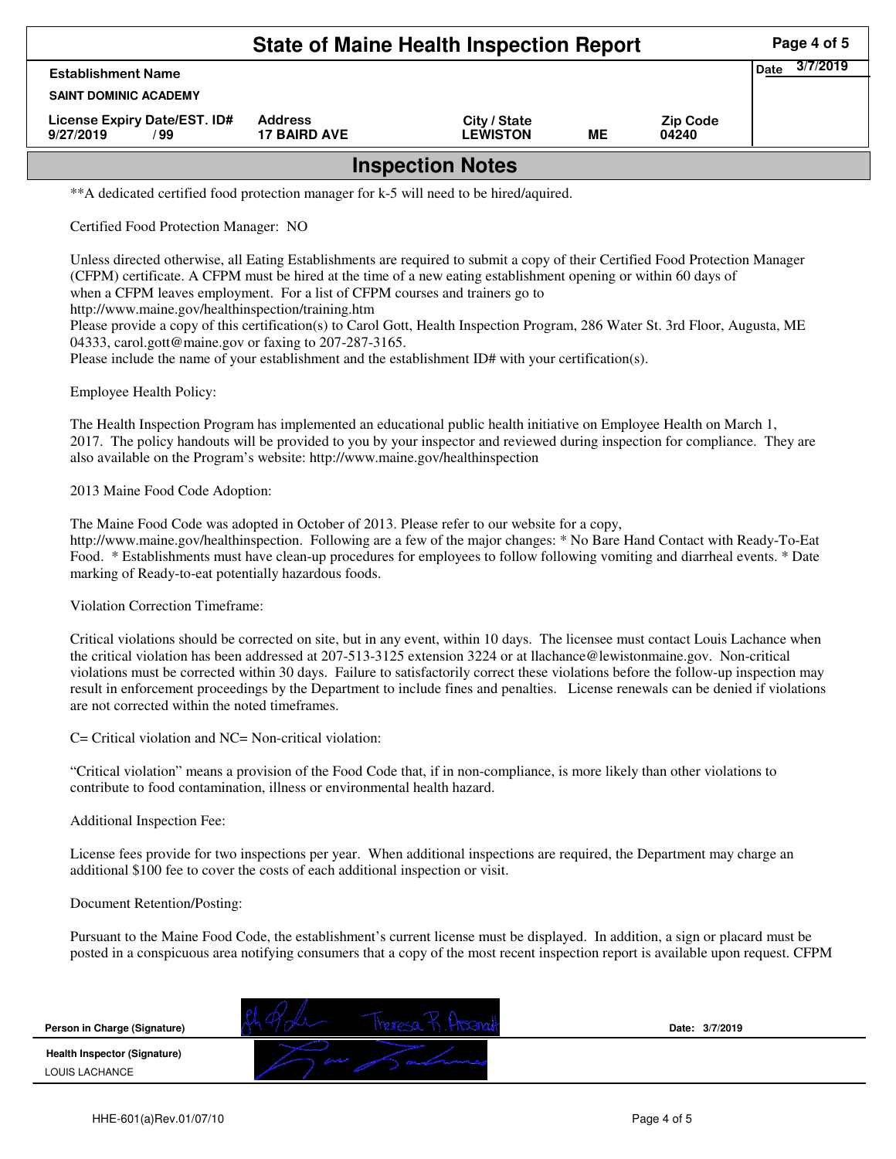|                                                   | Page 4 of 5                           |                                 |    |                          |                         |  |  |  |
|---------------------------------------------------|---------------------------------------|---------------------------------|----|--------------------------|-------------------------|--|--|--|
| <b>Establishment Name</b>                         |                                       |                                 |    |                          | 3/7/2019<br><b>Date</b> |  |  |  |
| <b>SAINT DOMINIC ACADEMY</b>                      |                                       |                                 |    |                          |                         |  |  |  |
| License Expiry Date/EST. ID#<br>9/27/2019<br>/ 99 | <b>Address</b><br><b>17 BAIRD AVE</b> | City / State<br><b>LEWISTON</b> | ME | <b>Zip Code</b><br>04240 |                         |  |  |  |
| <b>Inspection Notes</b>                           |                                       |                                 |    |                          |                         |  |  |  |

\*\*A dedicated certified food protection manager for k-5 will need to be hired/aquired.

Certified Food Protection Manager: NO

Unless directed otherwise, all Eating Establishments are required to submit a copy of their Certified Food Protection Manager (CFPM) certificate. A CFPM must be hired at the time of a new eating establishment opening or within 60 days of when a CFPM leaves employment. For a list of CFPM courses and trainers go to

http://www.maine.gov/healthinspection/training.htm

Please provide a copy of this certification(s) to Carol Gott, Health Inspection Program, 286 Water St. 3rd Floor, Augusta, ME 04333, carol.gott@maine.gov or faxing to 207-287-3165.

Please include the name of your establishment and the establishment ID# with your certification(s).

Employee Health Policy:

The Health Inspection Program has implemented an educational public health initiative on Employee Health on March 1, 2017. The policy handouts will be provided to you by your inspector and reviewed during inspection for compliance. They are also available on the Program's website: http://www.maine.gov/healthinspection

2013 Maine Food Code Adoption:

The Maine Food Code was adopted in October of 2013. Please refer to our website for a copy, http://www.maine.gov/healthinspection. Following are a few of the major changes: \* No Bare Hand Contact with Ready-To-Eat Food. \* Establishments must have clean-up procedures for employees to follow following vomiting and diarrheal events. \* Date marking of Ready-to-eat potentially hazardous foods.

Violation Correction Timeframe:

Critical violations should be corrected on site, but in any event, within 10 days. The licensee must contact Louis Lachance when the critical violation has been addressed at 207-513-3125 extension 3224 or at llachance@lewistonmaine.gov. Non-critical violations must be corrected within 30 days. Failure to satisfactorily correct these violations before the follow-up inspection may result in enforcement proceedings by the Department to include fines and penalties. License renewals can be denied if violations are not corrected within the noted timeframes.

C= Critical violation and NC= Non-critical violation:

"Critical violation" means a provision of the Food Code that, if in non-compliance, is more likely than other violations to contribute to food contamination, illness or environmental health hazard.

Additional Inspection Fee:

License fees provide for two inspections per year. When additional inspections are required, the Department may charge an additional \$100 fee to cover the costs of each additional inspection or visit.

Document Retention/Posting:

Pursuant to the Maine Food Code, the establishment's current license must be displayed. In addition, a sign or placard must be posted in a conspicuous area notifying consumers that a copy of the most recent inspection report is available upon request. CFPM